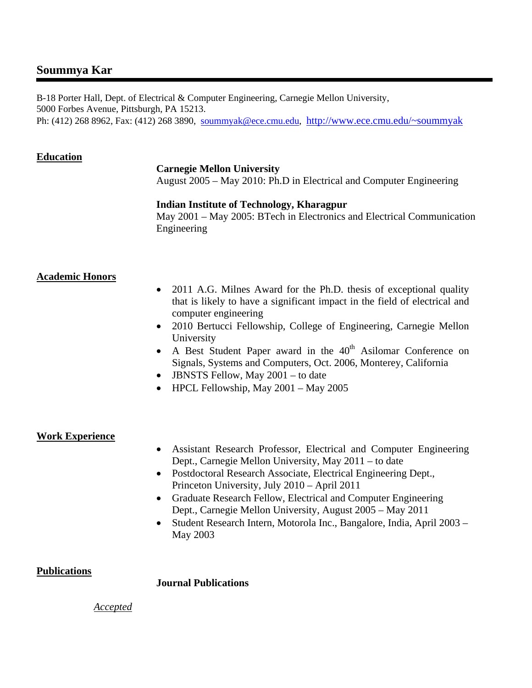# **Soummya Kar**

 B-18 Porter Hall, Dept. of Electrical & Computer Engineering, Carnegie Mellon University, 5000 Forbes Avenue, Pittsburgh, PA 15213. Ph: (412) 268 8962, Fax: (412) 268 3890, soummyak@ece.cmu.edu, http://www.ece.cmu.edu/~soummyak

# **Education**

# **Carnegie Mellon University**

August 2005 – May 2010: Ph.D in Electrical and Computer Engineering

### **Indian Institute of Technology, Kharagpur**

May 2001 – May 2005: BTech in Electronics and Electrical Communication Engineering

# **Academic Honors**

- 2011 A.G. Milnes Award for the Ph.D. thesis of exceptional quality that is likely to have a significant impact in the field of electrical and computer engineering
- 2010 Bertucci Fellowship, College of Engineering, Carnegie Mellon University
- A Best Student Paper award in the 40<sup>th</sup> Asilomar Conference on Signals, Systems and Computers, Oct. 2006, Monterey, California
- JBNSTS Fellow, May 2001 to date
- HPCL Fellowship, May 2001 May 2005

# **Work Experience**

- Assistant Research Professor, Electrical and Computer Engineering Dept., Carnegie Mellon University, May 2011 – to date
- Postdoctoral Research Associate, Electrical Engineering Dept., Princeton University, July 2010 – April 2011
- Graduate Research Fellow, Electrical and Computer Engineering Dept., Carnegie Mellon University, August 2005 – May 2011
- Student Research Intern, Motorola Inc., Bangalore, India, April 2003 May 2003

# **Publications**

**Journal Publications** 

### *Accepted*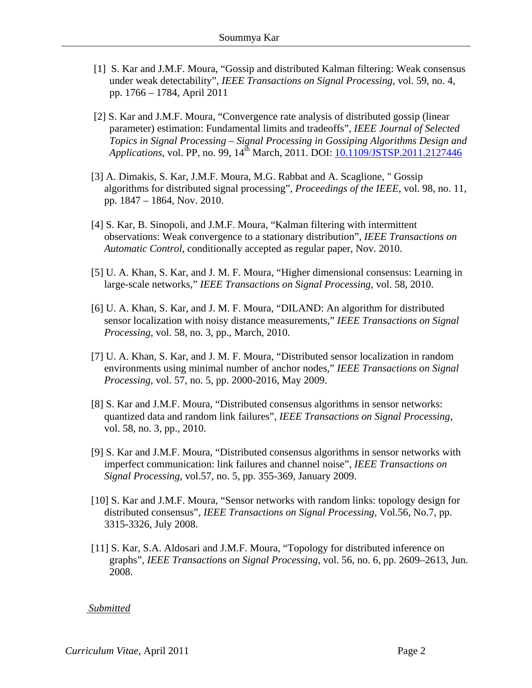- [1] S. Kar and J.M.F. Moura, "Gossip and distributed Kalman filtering: Weak consensus under weak detectability", *IEEE Transactions on Signal Processing*, vol. 59, no. 4, pp. 1766 – 1784, April 2011
- [2] S. Kar and J.M.F. Moura, "Convergence rate analysis of distributed gossip (linear parameter) estimation: Fundamental limits and tradeoffs", *IEEE Journal of Selected Topics in Signal Processing – Signal Processing in Gossiping Algorithms Design and Applications*, vol. PP, no. 99, 14<sup>th</sup> March, 2011. DOI: 10.1109/JSTSP.2011.2127446
- [3] A. Dimakis, S. Kar, J.M.F. Moura, M.G. Rabbat and A. Scaglione, " Gossip algorithms for distributed signal processing", *Proceedings of the IEEE*, vol. 98, no. 11, pp. 1847 – 1864, Nov. 2010.
- [4] S. Kar, B. Sinopoli, and J.M.F. Moura, "Kalman filtering with intermittent observations: Weak convergence to a stationary distribution", *IEEE Transactions on Automatic Control*, conditionally accepted as regular paper, Nov. 2010.
- [5] U. A. Khan, S. Kar, and J. M. F. Moura, "Higher dimensional consensus: Learning in large-scale networks," *IEEE Transactions on Signal Processing*, vol. 58, 2010.
- [6] U. A. Khan, S. Kar, and J. M. F. Moura, "DILAND: An algorithm for distributed sensor localization with noisy distance measurements," *IEEE Transactions on Signal Processing*, vol. 58, no. 3, pp., March, 2010.
- [7] U. A. Khan, S. Kar, and J. M. F. Moura, "Distributed sensor localization in random environments using minimal number of anchor nodes," *IEEE Transactions on Signal Processing*, vol. 57, no. 5, pp. 2000-2016, May 2009.
- [8] S. Kar and J.M.F. Moura, "Distributed consensus algorithms in sensor networks: quantized data and random link failures", *IEEE Transactions on Signal Processing*, vol. 58, no. 3, pp., 2010.
- [9] S. Kar and J.M.F. Moura, "Distributed consensus algorithms in sensor networks with imperfect communication: link failures and channel noise", *IEEE Transactions on Signal Processing*, vol.57, no. 5, pp. 355-369, January 2009.
- [10] S. Kar and J.M.F. Moura, "Sensor networks with random links: topology design for distributed consensus", *IEEE Transactions on Signal Processing*, Vol.56, No.7, pp. 3315-3326, July 2008.
- [11] S. Kar, S.A. Aldosari and J.M.F. Moura, "Topology for distributed inference on graphs", *IEEE Transactions on Signal Processing*, vol. 56, no. 6, pp. 2609–2613, Jun. 2008.

### *Submitted*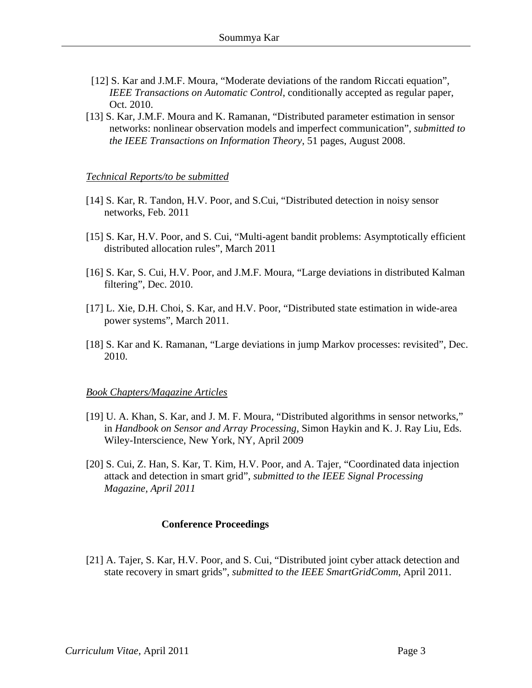- [12] S. Kar and J.M.F. Moura, "Moderate deviations of the random Riccati equation", *IEEE Transactions on Automatic Control*, conditionally accepted as regular paper, Oct. 2010.
- [13] S. Kar, J.M.F. Moura and K. Ramanan, "Distributed parameter estimation in sensor networks: nonlinear observation models and imperfect communication", *submitted to the IEEE Transactions on Information Theory*, 51 pages, August 2008.

### *Technical Reports/to be submitted*

- [14] S. Kar, R. Tandon, H.V. Poor, and S.Cui, "Distributed detection in noisy sensor networks, Feb. 2011
- [15] S. Kar, H.V. Poor, and S. Cui, "Multi-agent bandit problems: Asymptotically efficient distributed allocation rules", March 2011
- [16] S. Kar, S. Cui, H.V. Poor, and J.M.F. Moura, "Large deviations in distributed Kalman filtering", Dec. 2010.
- [17] L. Xie, D.H. Choi, S. Kar, and H.V. Poor, "Distributed state estimation in wide-area power systems", March 2011.
- [18] S. Kar and K. Ramanan, "Large deviations in jump Markov processes: revisited", Dec. 2010.

#### *Book Chapters/Magazine Articles*

- [19] U. A. Khan, S. Kar, and J. M. F. Moura, "Distributed algorithms in sensor networks," in *Handbook on Sensor and Array Processing*, Simon Haykin and K. J. Ray Liu, Eds. Wiley-Interscience, New York, NY, April 2009
- [20] S. Cui, Z. Han, S. Kar, T. Kim, H.V. Poor, and A. Tajer, "Coordinated data injection attack and detection in smart grid", *submitted to the IEEE Signal Processing Magazine, April 2011*

### **Conference Proceedings**

[21] A. Tajer, S. Kar, H.V. Poor, and S. Cui, "Distributed joint cyber attack detection and state recovery in smart grids", *submitted to the IEEE SmartGridComm*, April 2011.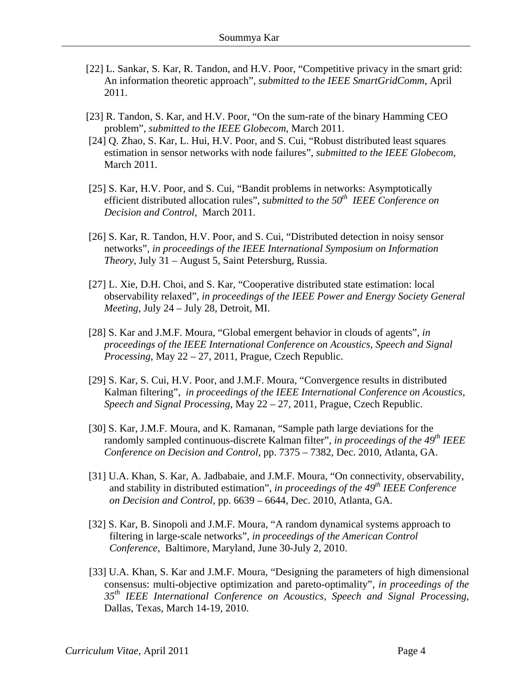- [22] L. Sankar, S. Kar, R. Tandon, and H.V. Poor, "Competitive privacy in the smart grid: An information theoretic approach", *submitted to the IEEE SmartGridComm*, April 2011.
- [23] R. Tandon, S. Kar, and H.V. Poor, "On the sum-rate of the binary Hamming CEO problem", *submitted to the IEEE Globecom*, March 2011.
- [24] Q. Zhao, S. Kar, L. Hui, H.V. Poor, and S. Cui, "Robust distributed least squares estimation in sensor networks with node failures", *submitted to the IEEE Globecom*, March 2011.
- [25] S. Kar, H.V. Poor, and S. Cui, "Bandit problems in networks: Asymptotically efficient distributed allocation rules", *submitted to the 50<sup>th</sup> IEEE Conference on Decision and Control*, March 2011.
- [26] S. Kar, R. Tandon, H.V. Poor, and S. Cui, "Distributed detection in noisy sensor networks", *in proceedings of the IEEE International Symposium on Information Theory*, July 31 – August 5, Saint Petersburg, Russia.
- [27] L. Xie, D.H. Choi, and S. Kar, "Cooperative distributed state estimation: local observability relaxed", *in proceedings of the IEEE Power and Energy Society General Meeting*, July 24 – July 28, Detroit, MI.
- [28] S. Kar and J.M.F. Moura, "Global emergent behavior in clouds of agents", *in proceedings of the IEEE International Conference on Acoustics, Speech and Signal Processing*, May 22 – 27, 2011, Prague, Czech Republic.
- [29] S. Kar, S. Cui, H.V. Poor, and J.M.F. Moura, "Convergence results in distributed Kalman filtering", *in proceedings of the IEEE International Conference on Acoustics, Speech and Signal Processing*, May 22 – 27, 2011, Prague, Czech Republic.
- [30] S. Kar, J.M.F. Moura, and K. Ramanan, "Sample path large deviations for the randomly sampled continuous-discrete Kalman filter", *in proceedings of the 49th IEEE Conference on Decision and Control*, pp. 7375 – 7382, Dec. 2010, Atlanta, GA.
- [31] U.A. Khan, S. Kar, A. Jadbabaie, and J.M.F. Moura, "On connectivity, observability, and stability in distributed estimation", *in proceedings of the 49th IEEE Conference on Decision and Control*, pp. 6639 – 6644, Dec. 2010, Atlanta, GA.
- [32] S. Kar, B. Sinopoli and J.M.F. Moura, "A random dynamical systems approach to filtering in large-scale networks", *in proceedings of the American Control Conference*, Baltimore, Maryland, June 30-July 2, 2010.
- [33] U.A. Khan, S. Kar and J.M.F. Moura, "Designing the parameters of high dimensional consensus: multi-objective optimization and pareto-optimality", *in proceedings of the 35th IEEE International Conference on Acoustics, Speech and Signal Processing*, Dallas, Texas, March 14-19, 2010.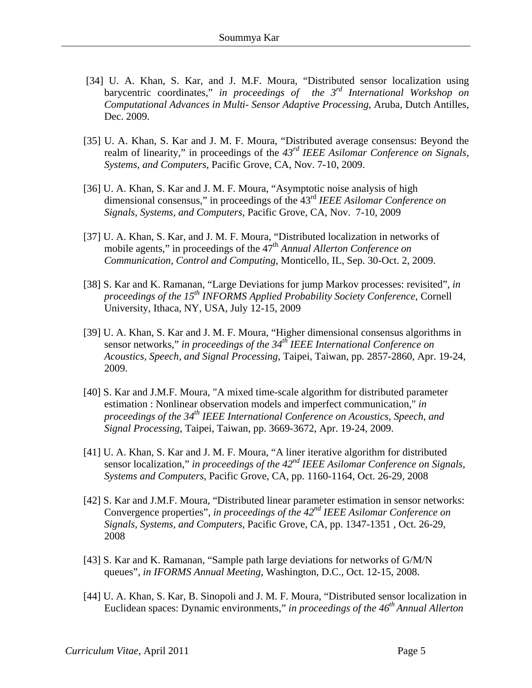- [34] U. A. Khan, S. Kar, and J. M.F. Moura, "Distributed sensor localization using barycentric coordinates," *in proceedings of the 3rd International Workshop on Computational Advances in Multi- Sensor Adaptive Processing*, Aruba, Dutch Antilles, Dec. 2009.
- [35] U. A. Khan, S. Kar and J. M. F. Moura, "Distributed average consensus: Beyond the realm of linearity," in proceedings of the *43rd IEEE Asilomar Conference on Signals, Systems, and Computers*, Pacific Grove, CA, Nov. 7-10, 2009.
- [36] U. A. Khan, S. Kar and J. M. F. Moura, "Asymptotic noise analysis of high dimensional consensus," in proceedings of the 43rd *IEEE Asilomar Conference on Signals, Systems, and Computers*, Pacific Grove, CA, Nov. 7-10, 2009
- [37] U. A. Khan, S. Kar, and J. M. F. Moura, "Distributed localization in networks of mobile agents," in proceedings of the 47<sup>th</sup> *Annual Allerton Conference on Communication, Control and Computing*, Monticello, IL, Sep. 30-Oct. 2, 2009.
- [38] S. Kar and K. Ramanan, "Large Deviations for jump Markov processes: revisited", *in proceedings of the 15th INFORMS Applied Probability Society Conference*, Cornell University, Ithaca, NY, USA, July 12-15, 2009
- [39] U. A. Khan, S. Kar and J. M. F. Moura, "Higher dimensional consensus algorithms in sensor networks," *in proceedings of the 34th IEEE International Conference on Acoustics, Speech, and Signal Processing*, Taipei, Taiwan, pp. 2857-2860, Apr. 19-24, 2009.
- [40] S. Kar and J.M.F. Moura, "A mixed time-scale algorithm for distributed parameter estimation : Nonlinear observation models and imperfect communication," *in proceedings of the 34<sup>th</sup> IEEE International Conference on Acoustics, Speech, and Signal Processing*, Taipei, Taiwan, pp. 3669-3672, Apr. 19-24, 2009.
- [41] U. A. Khan, S. Kar and J. M. F. Moura, "A liner iterative algorithm for distributed sensor localization," *in proceedings of the 42<sup>nd</sup> IEEE Asilomar Conference on Signals, Systems and Computers*, Pacific Grove, CA, pp. 1160-1164, Oct. 26-29, 2008
- [42] S. Kar and J.M.F. Moura, "Distributed linear parameter estimation in sensor networks: Convergence properties", *in proceedings of the 42nd IEEE Asilomar Conference on Signals, Systems, and Computers*, Pacific Grove, CA, pp. 1347-1351 , Oct. 26-29, 2008
- [43] S. Kar and K. Ramanan, "Sample path large deviations for networks of G/M/N queues", *in IFORMS Annual Meeting*, Washington, D.C., Oct. 12-15, 2008.
- [44] U. A. Khan, S. Kar, B. Sinopoli and J. M. F. Moura, "Distributed sensor localization in Euclidean spaces: Dynamic environments," *in proceedings of the 46th Annual Allerton*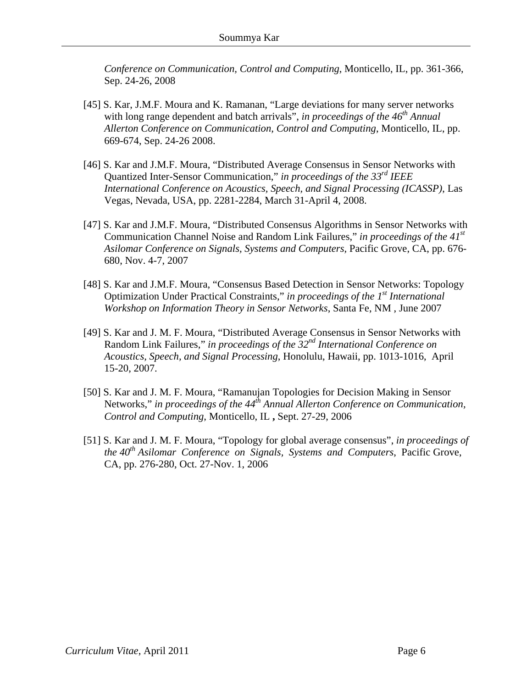*Conference on Communication, Control and Computing*, Monticello, IL, pp. 361-366, Sep. 24-26, 2008

- [45] S. Kar, J.M.F. Moura and K. Ramanan, "Large deviations for many server networks with long range dependent and batch arrivals", *in proceedings of the 46<sup>th</sup> Annual Allerton Conference on Communication, Control and Computing*, Monticello, IL, pp. 669-674, Sep. 24-26 2008.
- [46] S. Kar and J.M.F. Moura, "Distributed Average Consensus in Sensor Networks with Quantized Inter-Sensor Communication," *in proceedings of the 33rd IEEE International Conference on Acoustics, Speech, and Signal Processing (ICASSP)*, Las Vegas, Nevada, USA, pp. 2281-2284, March 31-April 4, 2008.
- [47] S. Kar and J.M.F. Moura, "Distributed Consensus Algorithms in Sensor Networks with Communication Channel Noise and Random Link Failures," *in proceedings of the 41st Asilomar Conference on Signals, Systems and Computers,* Pacific Grove, CA, pp. 676- 680, Nov. 4-7, 2007
- [48] S. Kar and J.M.F. Moura, "Consensus Based Detection in Sensor Networks: Topology Optimization Under Practical Constraints," *in proceedings of the 1st International Workshop on Information Theory in Sensor Networks*, Santa Fe, NM , June 2007
- [49] S. Kar and J. M. F. Moura, "Distributed Average Consensus in Sensor Networks with Random Link Failures," *in proceedings of the 32nd International Conference on Acoustics, Speech, and Signal Processing*, Honolulu, Hawaii, pp. 1013-1016, April 15-20, 2007.
- [50] S. Kar and J. M. F. Moura, "Ramanujan Topologies for Decision Making in Sensor Networks," in proceedings of the 44<sup>th</sup> Annual Allerton Conference on Communication, *Control and Computing*, Monticello, IL **,** Sept. 27-29, 2006
- [51] S. Kar and J. M. F. Moura, "Topology for global average consensus", *in proceedings of the 40<sup>th</sup> Asilomar Conference on Signals, Systems and Computers, Pacific Grove,* CA, pp. 276-280, Oct. 27-Nov. 1, 2006